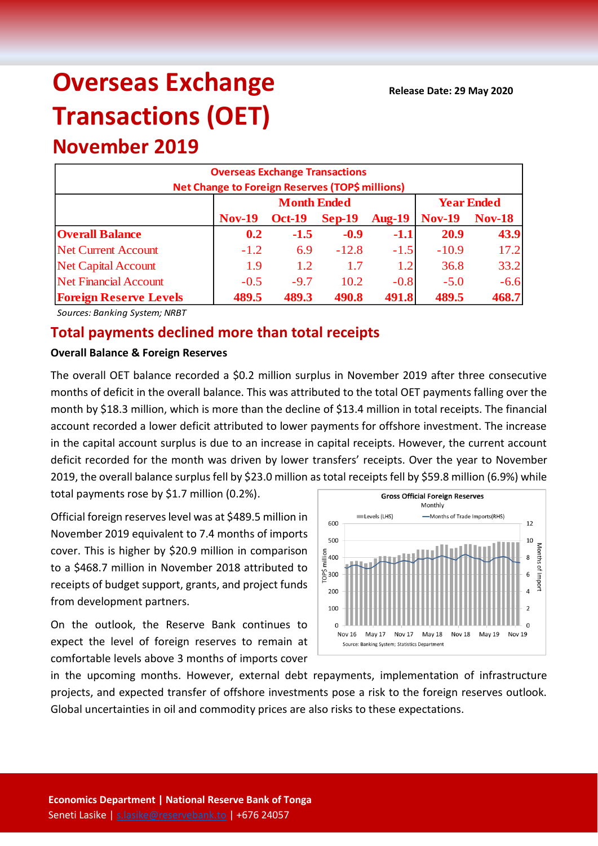# **Overseas Exchange Transactions (OET)**

**November 2019**

|                               | <b>Overseas Exchange Transactions</b>           |                    |                   |               |               |               |
|-------------------------------|-------------------------------------------------|--------------------|-------------------|---------------|---------------|---------------|
|                               | Net Change to Foreign Reserves (TOP\$ millions) |                    |                   |               |               |               |
|                               |                                                 | <b>Month Ended</b> | <b>Year Ended</b> |               |               |               |
|                               | <b>Nov-19</b>                                   | <b>Oct-19</b>      | $Sep-19$          | <b>Aug-19</b> | <b>Nov-19</b> | <b>Nov-18</b> |
| <b>Overall Balance</b>        | 0.2                                             | $-1.5$             | $-0.9$            | $-1.1$        | 20.9          | 43.9          |
| <b>Net Current Account</b>    | $-1.2$                                          | 6.9                | $-12.8$           | $-1.5$        | $-10.9$       | 17.2          |
| <b>Net Capital Account</b>    | 1.9                                             | 1.2                | 1.7               | 1.2           | 36.8          | 33.2          |
| <b>Net Financial Account</b>  | $-0.5$                                          | $-9.7$             | 10.2              | $-0.8$        | $-5.0$        | $-6.6$        |
| <b>Foreign Reserve Levels</b> | 489.5                                           | 489.3              | 490.8             | 491.8         | 489.5         | 468.7         |

*Sources: Banking System; NRBT*

# **Total payments declined more than total receipts**

## **Overall Balance & Foreign Reserves**

The overall OET balance recorded a \$0.2 million surplus in November 2019 after three consecutive months of deficit in the overall balance. This was attributed to the total OET payments falling over the month by \$18.3 million, which is more than the decline of \$13.4 million in total receipts. The financial account recorded a lower deficit attributed to lower payments for offshore investment. The increase in the capital account surplus is due to an increase in capital receipts. However, the current account deficit recorded for the month was driven by lower transfers' receipts. Over the year to November 2019, the overall balance surplus fell by \$23.0 million as total receipts fell by \$59.8 million (6.9%) while

total payments rose by \$1.7 million (0.2%).

Official foreign reserves level was at \$489.5 million in November 2019 equivalent to 7.4 months of imports cover. This is higher by \$20.9 million in comparison to a \$468.7 million in November 2018 attributed to receipts of budget support, grants, and project funds from development partners.

On the outlook, the Reserve Bank continues to expect the level of foreign reserves to remain at comfortable levels above 3 months of imports cover



in the upcoming months. However, external debt repayments, implementation of infrastructure projects, and expected transfer of offshore investments pose a risk to the foreign reserves outlook. Global uncertainties in oil and commodity prices are also risks to these expectations.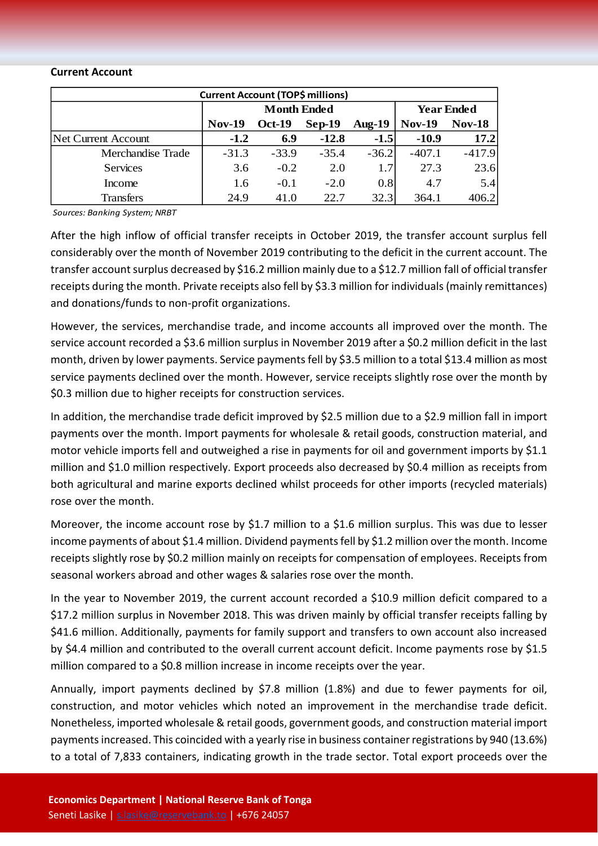#### **Current Account**

| <b>Current Account (TOP\$ millions)</b> |               |                    |                   |           |               |               |  |  |
|-----------------------------------------|---------------|--------------------|-------------------|-----------|---------------|---------------|--|--|
|                                         |               | <b>Month Ended</b> | <b>Year Ended</b> |           |               |               |  |  |
|                                         | <b>Nov-19</b> | <b>Oct-19</b>      | $Sep-19$          | Aug- $19$ | <b>Nov-19</b> | <b>Nov-18</b> |  |  |
| Net Current Account                     | $-1.2$        | 6.9                | $-12.8$           | $-1.5$    | $-10.9$       | 17.2          |  |  |
| Merchandise Trade                       | $-31.3$       | $-33.9$            | $-35.4$           | $-36.2$   | $-407.1$      | $-417.9$      |  |  |
| <b>Services</b>                         | 3.6           | $-0.2$             | 2.0               | 1.7       | 27.3          | 23.6          |  |  |
| Income                                  | 1.6           | $-0.1$             | $-2.0$            | 0.8       | 4.7           | 5.4           |  |  |
| <b>Transfers</b>                        | 24.9          | 41.0               | 22.7              | 32.3      | 364.1         | 406.2         |  |  |

*Sources: Banking System; NRBT*

After the high inflow of official transfer receipts in October 2019, the transfer account surplus fell considerably over the month of November 2019 contributing to the deficit in the current account. The transfer account surplus decreased by \$16.2 million mainly due to a \$12.7 million fall of official transfer receipts during the month. Private receipts also fell by \$3.3 million for individuals (mainly remittances) and donations/funds to non-profit organizations.

However, the services, merchandise trade, and income accounts all improved over the month. The service account recorded a \$3.6 million surplus in November 2019 after a \$0.2 million deficit in the last month, driven by lower payments. Service payments fell by \$3.5 million to a total \$13.4 million as most service payments declined over the month. However, service receipts slightly rose over the month by \$0.3 million due to higher receipts for construction services.

In addition, the merchandise trade deficit improved by \$2.5 million due to a \$2.9 million fall in import payments over the month. Import payments for wholesale & retail goods, construction material, and motor vehicle imports fell and outweighed a rise in payments for oil and government imports by \$1.1 million and \$1.0 million respectively. Export proceeds also decreased by \$0.4 million as receipts from both agricultural and marine exports declined whilst proceeds for other imports (recycled materials) rose over the month.

Moreover, the income account rose by \$1.7 million to a \$1.6 million surplus. This was due to lesser income payments of about \$1.4 million. Dividend payments fell by \$1.2 million over the month. Income receipts slightly rose by \$0.2 million mainly on receipts for compensation of employees. Receipts from seasonal workers abroad and other wages & salaries rose over the month.

In the year to November 2019, the current account recorded a \$10.9 million deficit compared to a \$17.2 million surplus in November 2018. This was driven mainly by official transfer receipts falling by \$41.6 million. Additionally, payments for family support and transfers to own account also increased by \$4.4 million and contributed to the overall current account deficit. Income payments rose by \$1.5 million compared to a \$0.8 million increase in income receipts over the year.

Annually, import payments declined by \$7.8 million (1.8%) and due to fewer payments for oil, construction, and motor vehicles which noted an improvement in the merchandise trade deficit. Nonetheless, imported wholesale & retail goods, government goods, and construction material import paymentsincreased. This coincided with a yearly rise in business container registrations by 940 (13.6%) to a total of 7,833 containers, indicating growth in the trade sector. Total export proceeds over the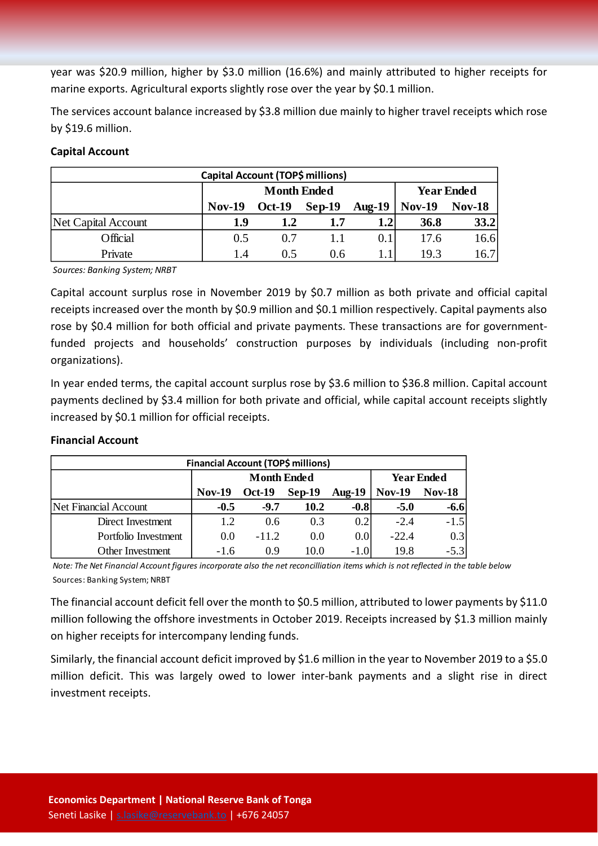year was \$20.9 million, higher by \$3.0 million (16.6%) and mainly attributed to higher receipts for marine exports. Agricultural exports slightly rose over the year by \$0.1 million.

The services account balance increased by \$3.8 million due mainly to higher travel receipts which rose by \$19.6 million.

# **Capital Account**

| Capital Account (TOP\$ millions) |               |                    |                   |                  |               |               |  |  |
|----------------------------------|---------------|--------------------|-------------------|------------------|---------------|---------------|--|--|
|                                  |               | <b>Month Ended</b> | <b>Year Ended</b> |                  |               |               |  |  |
|                                  | <b>Nov-19</b> | <b>Oct-19</b>      | Sep-19            | Aug- $19$        | <b>Nov-19</b> | <b>Nov-18</b> |  |  |
| Net Capital Account              | 1.9           | 1.2                | 1.7               | 1.2 <sub>1</sub> | <b>36.8</b>   | 33.2          |  |  |
| Official                         | 0.5           | 0.7                |                   | 0.1              | 17.6          | 16.6          |  |  |
| Private                          | 1.4           | 0.5                | 0.6               |                  | 19.3          | 16.7          |  |  |

*Sources: Banking System; NRBT*

Capital account surplus rose in November 2019 by \$0.7 million as both private and official capital receipts increased over the month by \$0.9 million and \$0.1 million respectively. Capital payments also rose by \$0.4 million for both official and private payments. These transactions are for governmentfunded projects and households' construction purposes by individuals (including non-profit organizations).

In year ended terms, the capital account surplus rose by \$3.6 million to \$36.8 million. Capital account payments declined by \$3.4 million for both private and official, while capital account receipts slightly increased by \$0.1 million for official receipts.

## **Financial Account**

| Financial Account (TOP\$ millions) |               |                    |                   |                  |               |               |  |  |
|------------------------------------|---------------|--------------------|-------------------|------------------|---------------|---------------|--|--|
|                                    |               | <b>Month Ended</b> | <b>Year Ended</b> |                  |               |               |  |  |
|                                    | <b>Nov-19</b> | <b>Oct-19</b>      | $Sep-19$          | Aug- $19$        | <b>Nov-19</b> | <b>Nov-18</b> |  |  |
| Net Financial Account              | $-0.5$        | $-9.7$             | 10.2              | $-0.8$           | $-5.0$        | $-6.6$        |  |  |
| Direct Investment                  | 1.2           | 0.6                | 0.3               | 0.2              | $-2.4$        | $-1.5$        |  |  |
| Portfolio Investment               | 0.0           | $-11.2$            | 0.0               | 0.0 <sub>l</sub> | $-22.4$       | 0.3           |  |  |
| Other Investment                   | $-1.6$        | 09                 | 10.0              | $-1.0$           | 19.8          | $-5.3$        |  |  |

*Note: The Net Financial Account figures incorporate also the net reconcilliation items which is not reflected in the table below* Sources: Banking System; NRBT

The financial account deficit fell over the month to \$0.5 million, attributed to lower payments by \$11.0 million following the offshore investments in October 2019. Receipts increased by \$1.3 million mainly on higher receipts for intercompany lending funds.

Similarly, the financial account deficit improved by \$1.6 million in the year to November 2019 to a \$5.0 million deficit. This was largely owed to lower inter-bank payments and a slight rise in direct investment receipts.